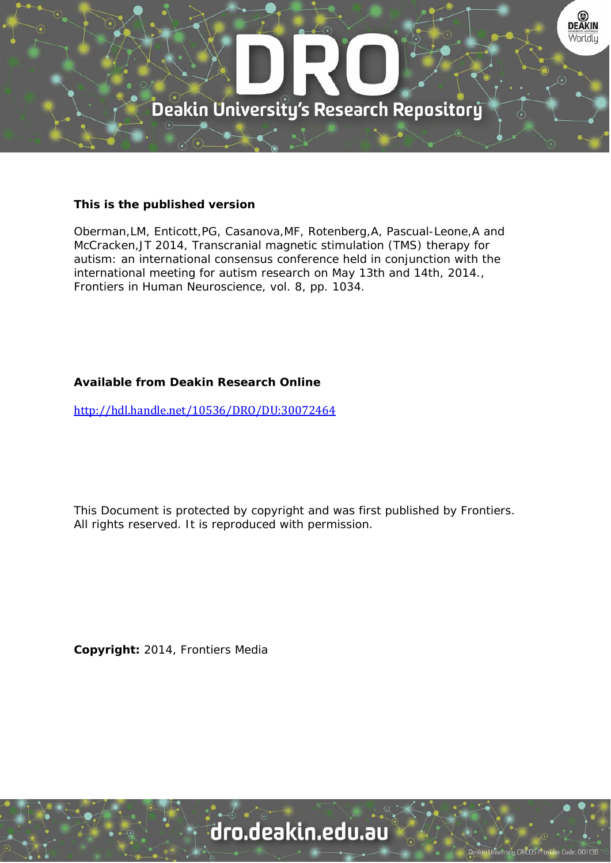

# **This is the published version**

Oberman,LM, Enticott,PG, Casanova,MF, Rotenberg,A, Pascual-Leone,A and McCracken,JT 2014, Transcranial magnetic stimulation (TMS) therapy for autism: an international consensus conference held in conjunction with the international meeting for autism research on May 13th and 14th, 2014., Frontiers in Human Neuroscience, vol. 8, pp. 1034.

# **Available from Deakin Research Online**

http://hdl.handle.net/10536/DRO/DU:30072464

This Document is protected by copyright and was first published by Frontiers. All rights reserved. It is reproduced with permission.

**Copyright:** 2014, Frontiers Media

# dro.deakin.edu.au

tu CRICOS Pr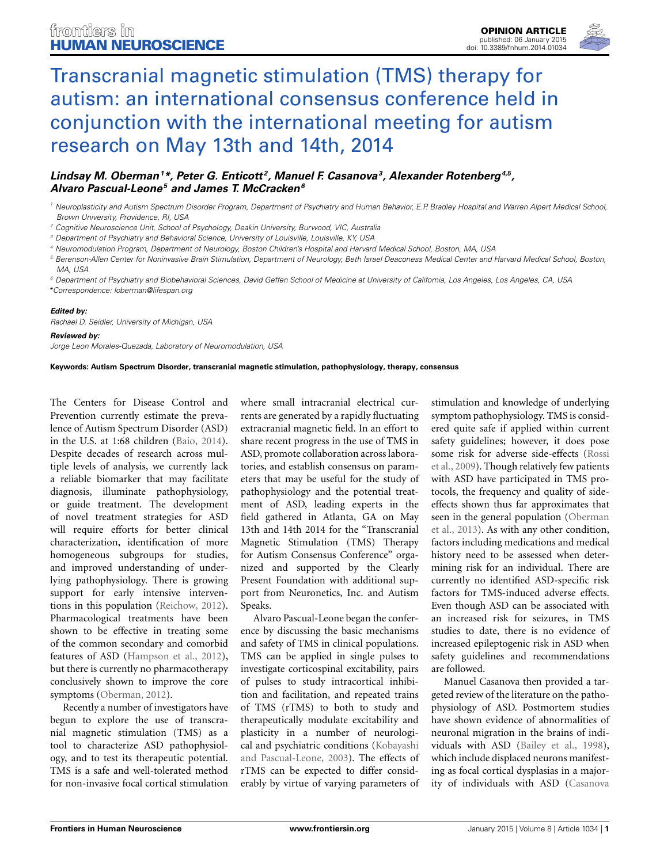

# Transcranial magnetic stimulation (TMS) therapy for [autism: an international consensus conference held in](http://www.frontiersin.org/journal/10.3389/fnhum.2014.01034/full) conjunction with the international meeting for autism research on May 13th and 14th, 2014

## *[Lindsay M. Oberman1](http://community.frontiersin.org/people/u/12519) \*, [Peter G. Enticott](http://community.frontiersin.org/people/u/23826) 2, [Manuel F. Casanova3](http://community.frontiersin.org/people/u/3604), [Alexander Rotenberg4](http://community.frontiersin.org/people/u/12526),5, [Alvaro Pascual-Leone](http://community.frontiersin.org/people/u/3650)5 and James T. McCracken6*

*<sup>1</sup> Neuroplasticity and Autism Spectrum Disorder Program, Department of Psychiatry and Human Behavior, E.P. Bradley Hospital and Warren Alpert Medical School, Brown University, Providence, RI, USA*

*<sup>2</sup> Cognitive Neuroscience Unit, School of Psychology, Deakin University, Burwood, VIC, Australia*

*<sup>3</sup> Department of Psychiatry and Behavioral Science, University of Louisville, Louisville, KY, USA*

*<sup>4</sup> Neuromodulation Program, Department of Neurology, Boston Children's Hospital and Harvard Medical School, Boston, MA, USA*

*<sup>5</sup> Berenson-Allen Center for Noninvasive Brain Stimulation, Department of Neurology, Beth Israel Deaconess Medical Center and Harvard Medical School, Boston, MA, USA*

*<sup>6</sup> Department of Psychiatry and Biobehavioral Sciences, David Geffen School of Medicine at University of California, Los Angeles, Los Angeles, CA, USA \*Correspondence: [loberman@lifespan.org](mailto:loberman@lifespan.org)*

#### *Edited by:*

*Rachael D. Seidler, University of Michigan, USA*

#### *Reviewed by:*

*Jorge Leon Morales-Quezada, Laboratory of Neuromodulation, USA*

**Keywords: Autism Spectrum Disorder, transcranial magnetic stimulation, pathophysiology, therapy, consensus**

The Centers for Disease Control and Prevention currently estimate the prevalence of Autism Spectrum Disorder (ASD) in the U.S. at 1:68 children [\(Baio](#page-2-0), [2014](#page-2-0)). Despite decades of research across multiple levels of analysis, we currently lack a reliable biomarker that may facilitate diagnosis, illuminate pathophysiology, or guide treatment. The development of novel treatment strategies for ASD will require efforts for better clinical characterization, identification of more homogeneous subgroups for studies, and improved understanding of underlying pathophysiology. There is growing support for early intensive interventions in this population [\(Reichow](#page-3-0), [2012](#page-3-0)). Pharmacological treatments have been shown to be effective in treating some of the common secondary and comorbid features of ASD [\(Hampson et al., 2012](#page-2-1)), but there is currently no pharmacotherapy conclusively shown to improve the core symptoms [\(Oberman](#page-3-1), [2012\)](#page-3-1).

Recently a number of investigators have begun to explore the use of transcranial magnetic stimulation (TMS) as a tool to characterize ASD pathophysiology, and to test its therapeutic potential. TMS is a safe and well-tolerated method for non-invasive focal cortical stimulation

where small intracranial electrical currents are generated by a rapidly fluctuating extracranial magnetic field. In an effort to share recent progress in the use of TMS in ASD, promote collaboration across laboratories, and establish consensus on parameters that may be useful for the study of pathophysiology and the potential treatment of ASD, leading experts in the field gathered in Atlanta, GA on May 13th and 14th 2014 for the "Transcranial Magnetic Stimulation (TMS) Therapy for Autism Consensus Conference" organized and supported by the Clearly Present Foundation with additional support from Neuronetics, Inc. and Autism Speaks.

Alvaro Pascual-Leone began the conference by discussing the basic mechanisms and safety of TMS in clinical populations. TMS can be applied in single pulses to investigate corticospinal excitability, pairs of pulses to study intracortical inhibition and facilitation, and repeated trains of TMS (rTMS) to both to study and therapeutically modulate excitability and plasticity in a number of neurological and psychiatric [conditions](#page-3-2) [\(](#page-3-2)Kobayashi and Pascual-Leone, [2003](#page-3-2)). The effects of rTMS can be expected to differ considerably by virtue of varying parameters of stimulation and knowledge of underlying symptom pathophysiology. TMS is considered quite safe if applied within current safety guidelines; however, it does pose som[e risk for adverse side-effects \(](#page-3-3)Rossi et al., [2009](#page-3-3)). Though relatively few patients with ASD have participated in TMS protocols, the frequency and quality of sideeffects shown thus far approximates that seen [in the general population \(](#page-3-4)Oberman et al., [2013\)](#page-3-4). As with any other condition, factors including medications and medical history need to be assessed when determining risk for an individual. There are currently no identified ASD-specific risk factors for TMS-induced adverse effects. Even though ASD can be associated with an increased risk for seizures, in TMS studies to date, there is no evidence of increased epileptogenic risk in ASD when safety guidelines and recommendations are followed.

Manuel Casanova then provided a targeted review of the literature on the pathophysiology of ASD. Postmortem studies have shown evidence of abnormalities of neuronal migration in the brains of individuals with ASD [\(Bailey et al.](#page-2-2), [1998](#page-2-2)), which include displaced neurons manifesting as focal cortical dysplasias in a majority of individuals with ASD (Casanova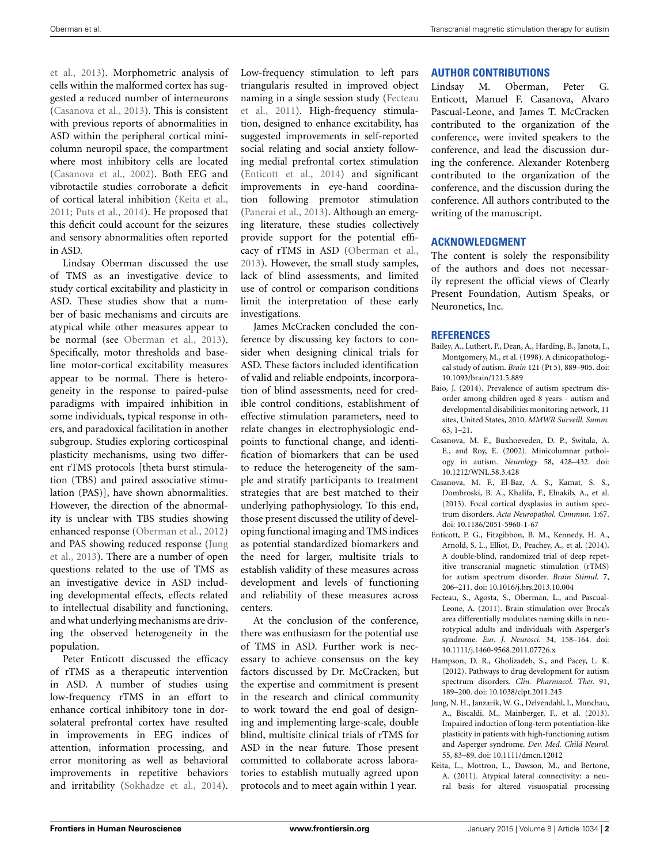et al., [2013](#page-2-3)). Morphometric analysis of cells within the malformed cortex has suggested a reduced number of interneurons [\(Casanova et al., 2013](#page-2-3)). This is consistent with previous reports of abnormalities in ASD within the peripheral cortical minicolumn neuropil space, the compartment where most inhibitory cells are located [\(Casanova et al.](#page-2-4), [2002\)](#page-2-4). Both EEG and vibrotactile studies corroborate a deficit of cortical lateral inhibition [\(Keita et al.,](#page-2-5) [2011](#page-2-5); [Puts et al.](#page-3-5), [2014\)](#page-3-5). He proposed that this deficit could account for the seizures and sensory abnormalities often reported in ASD.

Lindsay Oberman discussed the use of TMS as an investigative device to study cortical excitability and plasticity in ASD. These studies show that a number of basic mechanisms and circuits are atypical while other measures appear to be normal (see [Oberman et al.](#page-3-4), [2013](#page-3-4)). Specifically, motor thresholds and baseline motor-cortical excitability measures appear to be normal. There is heterogeneity in the response to paired-pulse paradigms with impaired inhibition in some individuals, typical response in others, and paradoxical facilitation in another subgroup. Studies exploring corticospinal plasticity mechanisms, using two different rTMS protocols [theta burst stimulation (TBS) and paired associative stimulation (PAS)], have shown abnormalities. However, the direction of the abnormality is unclear with TBS studies showing enhanced response [\(Oberman et al., 2012](#page-3-6)) and [PAS showing reduced response \(](#page-2-6)Jung et al., [2013](#page-2-6)). There are a number of open questions related to the use of TMS as an investigative device in ASD including developmental effects, effects related to intellectual disability and functioning, and what underlying mechanisms are driving the observed heterogeneity in the population.

Peter Enticott discussed the efficacy of rTMS as a therapeutic intervention in ASD. A number of studies using low-frequency rTMS in an effort to enhance cortical inhibitory tone in dorsolateral prefrontal cortex have resulted in improvements in EEG indices of attention, information processing, and error monitoring as well as behavioral improvements in repetitive behaviors and irritability [\(Sokhadze et al.](#page-3-7), [2014](#page-3-7)).

Low-frequency stimulation to left pars triangularis resulted in improved object nami[ng in a single session study \(](#page-2-7)Fecteau et al., [2011\)](#page-2-7). High-frequency stimulation, designed to enhance excitability, has suggested improvements in self-reported social relating and social anxiety following medial prefrontal cortex stimulation [\(Enticott et al.](#page-2-8), [2014](#page-2-8)) and significant improvements in eye-hand coordination following premotor stimulation [\(Panerai et al., 2013\)](#page-3-8). Although an emerging literature, these studies collectively provide support for the potential efficacy of rTMS in ASD [\(Oberman et al.](#page-3-4), [2013](#page-3-4)). However, the small study samples, lack of blind assessments, and limited use of control or comparison conditions limit the interpretation of these early investigations.

James McCracken concluded the conference by discussing key factors to consider when designing clinical trials for ASD. These factors included identification of valid and reliable endpoints, incorporation of blind assessments, need for credible control conditions, establishment of effective stimulation parameters, need to relate changes in electrophysiologic endpoints to functional change, and identification of biomarkers that can be used to reduce the heterogeneity of the sample and stratify participants to treatment strategies that are best matched to their underlying pathophysiology. To this end, those present discussed the utility of developing functional imaging and TMS indices as potential standardized biomarkers and the need for larger, multisite trials to establish validity of these measures across development and levels of functioning and reliability of these measures across centers.

At the conclusion of the conference, there was enthusiasm for the potential use of TMS in ASD. Further work is necessary to achieve consensus on the key factors discussed by Dr. McCracken, but the expertise and commitment is present in the research and clinical community to work toward the end goal of designing and implementing large-scale, double blind, multisite clinical trials of rTMS for ASD in the near future. Those present committed to collaborate across laboratories to establish mutually agreed upon protocols and to meet again within 1 year.

### **AUTHOR CONTRIBUTIONS**

Lindsay M. Oberman, Peter G. Enticott, Manuel F. Casanova, Alvaro Pascual-Leone, and James T. McCracken contributed to the organization of the conference, were invited speakers to the conference, and lead the discussion during the conference. Alexander Rotenberg contributed to the organization of the conference, and the discussion during the conference. All authors contributed to the writing of the manuscript.

#### **ACKNOWLEDGMENT**

The content is solely the responsibility of the authors and does not necessarily represent the official views of Clearly Present Foundation, Autism Speaks, or Neuronetics, Inc.

#### **REFERENCES**

- <span id="page-2-2"></span>Bailey, A., Luthert, P., Dean, A., Harding, B., Janota, I., Montgomery, M., et al. (1998). A clinicopathological study of autism. *Brain* 121 (Pt 5), 889–905. doi: 10.1093/brain/121.5.889
- <span id="page-2-0"></span>Baio, J. (2014). Prevalence of autism spectrum disorder among children aged 8 years - autism and developmental disabilities monitoring network, 11 sites, United States, 2010. *MMWR Surveill. Summ.* 63, 1–21.
- <span id="page-2-4"></span>Casanova, M. F., Buxhoeveden, D. P., Switala, A. E., and Roy, E. (2002). Minicolumnar pathology in autism. *Neurology* 58, 428–432. doi: 10.1212/WNL.58.3.428
- <span id="page-2-3"></span>Casanova, M. F., El-Baz, A. S., Kamat, S. S., Dombroski, B. A., Khalifa, F., Elnakib, A., et al. (2013). Focal cortical dysplasias in autism spectrum disorders. *Acta Neuropathol. Commun.* 1:67. doi: 10.1186/2051-5960-1-67
- <span id="page-2-8"></span>Enticott, P. G., Fitzgibbon, B. M., Kennedy, H. A., Arnold, S. L., Elliot, D., Peachey, A., et al. (2014). A double-blind, randomized trial of deep repetitive transcranial magnetic stimulation (rTMS) for autism spectrum disorder. *Brain Stimul.* 7, 206–211. doi: 10.1016/j.brs.2013.10.004
- <span id="page-2-7"></span>Fecteau, S., Agosta, S., Oberman, L., and Pascual-Leone, A. (2011). Brain stimulation over Broca's area differentially modulates naming skills in neurotypical adults and individuals with Asperger's syndrome. *Eur. J. Neurosci.* 34, 158–164. doi: 10.1111/j.1460-9568.2011.07726.x
- <span id="page-2-1"></span>Hampson, D. R., Gholizadeh, S., and Pacey, L. K. (2012). Pathways to drug development for autism spectrum disorders. *Clin. Pharmacol. Ther.* 91, 189–200. doi: 10.1038/clpt.2011.245
- <span id="page-2-6"></span>Jung, N. H., Janzarik, W. G., Delvendahl, I., Munchau, A., Biscaldi, M., Mainberger, F., et al. (2013). Impaired induction of long-term potentiation-like plasticity in patients with high-functioning autism and Asperger syndrome. *Dev. Med. Child Neurol.* 55, 83–89. doi: 10.1111/dmcn.12012
- <span id="page-2-5"></span>Keita, L., Mottron, L., Dawson, M., and Bertone, A. (2011). Atypical lateral connectivity: a neural basis for altered visuospatial processing